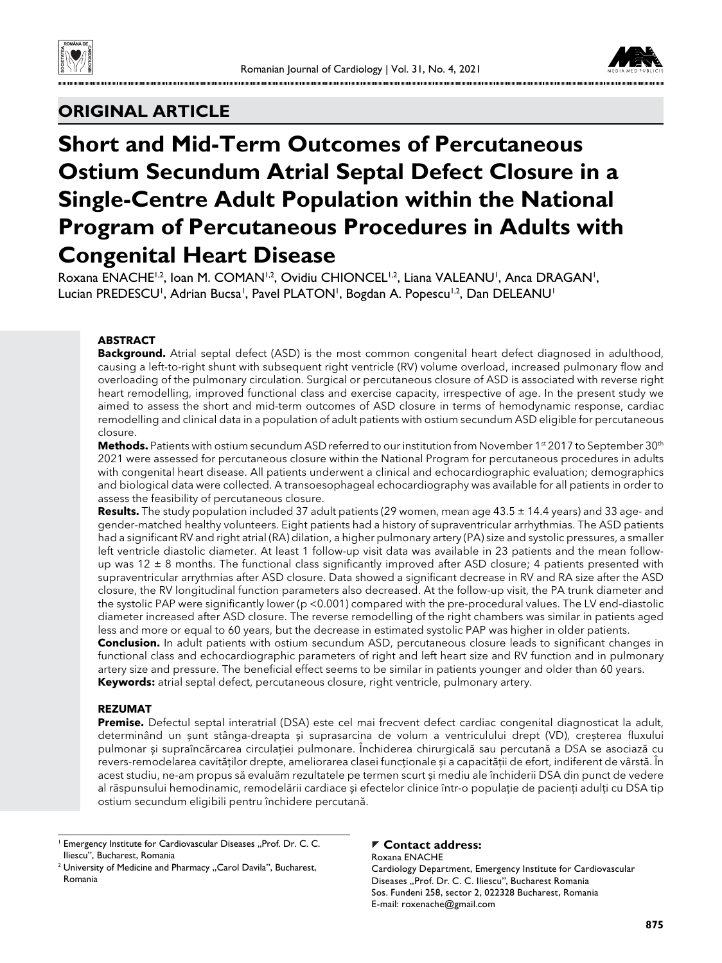



# **ORIGINAL ARTICLE**

# **Short and Mid-Term Outcomes of Percutaneous Ostium Secundum Atrial Septal Defect Closure in a Single-Centre Adult Population within the National Program of Percutaneous Procedures in Adults with Congenital Heart Disease**

Roxana ENACHE<sup>1,2</sup>, Ioan M. COMAN<sup>1,2</sup>, Ovidiu CHIONCEL<sup>1,2</sup>, Liana VALEANU<sup>1</sup>, Anca DRAGAN<sup>1</sup>, Lucian PREDESCU<sup>1</sup>, Adrian Bucsa<sup>1</sup>, Pavel PLATON<sup>1</sup>, Bogdan A. Popescu<sup>1,2</sup>, Dan DELEANU<sup>1</sup>

#### **ABSTRACT**

**Background.** Atrial septal defect (ASD) is the most common congenital heart defect diagnosed in adulthood, causing a left-to-right shunt with subsequent right ventricle (RV) volume overload, increased pulmonary flow and overloading of the pulmonary circulation. Surgical or percutaneous closure of ASD is associated with reverse right heart remodelling, improved functional class and exercise capacity, irrespective of age. In the present study we aimed to assess the short and mid-term outcomes of ASD closure in terms of hemodynamic response, cardiac remodelling and clinical data in a population of adult patients with ostium secundum ASD eligible for percutaneous closure.

Methods. Patients with ostium secundum ASD referred to our institution from November 1<sup>st</sup> 2017 to September 30<sup>th</sup> 2021 were assessed for percutaneous closure within the National Program for percutaneous procedures in adults with congenital heart disease. All patients underwent a clinical and echocardiographic evaluation; demographics and biological data were collected. A transoesophageal echocardiography was available for all patients in order to assess the feasibility of percutaneous closure.

**Results.** The study population included 37 adult patients (29 women, mean age 43.5 ± 14.4 years) and 33 age- and gender-matched healthy volunteers. Eight patients had a history of supraventricular arrhythmias. The ASD patients had a significant RV and right atrial (RA) dilation, a higher pulmonary artery (PA) size and systolic pressures, a smaller left ventricle diastolic diameter. At least 1 follow-up visit data was available in 23 patients and the mean followup was  $12 \pm 8$  months. The functional class significantly improved after ASD closure; 4 patients presented with supraventricular arrythmias after ASD closure. Data showed a significant decrease in RV and RA size after the ASD closure, the RV longitudinal function parameters also decreased. At the follow-up visit, the PA trunk diameter and the systolic PAP were significantly lower (p <0.001) compared with the pre-procedural values. The LV end-diastolic diameter increased after ASD closure. The reverse remodelling of the right chambers was similar in patients aged less and more or equal to 60 years, but the decrease in estimated systolic PAP was higher in older patients.

Conclusion. In adult patients with ostium secundum ASD, percutaneous closure leads to significant changes in functional class and echocardiographic parameters of right and left heart size and RV function and in pulmonary artery size and pressure. The beneficial effect seems to be similar in patients younger and older than 60 years. **Keywords:** atrial septal defect, percutaneous closure, right ventricle, pulmonary artery.

#### **REZUMAT**

**Premise.** Defectul septal interatrial (DSA) este cel mai frecvent defect cardiac congenital diagnosticat la adult, determinând un șunt stânga-dreapta și suprasarcina de volum a ventriculului drept (VD), creșterea fluxului pulmonar și supraîncărcarea circulației pulmonare. Închiderea chirurgicală sau percutană a DSA se asociază cu revers-remodelarea cavităților drepte, ameliorarea clasei funcționale și a capacității de efort, indiferent de vârstă. În acest studiu, ne-am propus să evaluăm rezultatele pe termen scurt și mediu ale închiderii DSA din punct de vedere al răspunsului hemodinamic, remodelării cardiace și efectelor clinice într-o populație de pacienți adulți cu DSA tip ostium secundum eligibili pentru închidere percutană.

<sup>1</sup> Emergency Institute for Cardiovascular Diseases "Prof. Dr. C. C. Iliescu", Bucharest, Romania

#### **Contact address:**

Roxana ENACHE Cardiology Department, Emergency Institute for Cardiovascular Diseases "Prof. Dr. C. C. Iliescu", Bucharest Romania Sos. Fundeni 258, sector 2, 022328 Bucharest, Romania E-mail: roxenache@gmail.com

<sup>&</sup>lt;sup>2</sup> University of Medicine and Pharmacy "Carol Davila", Bucharest, Romania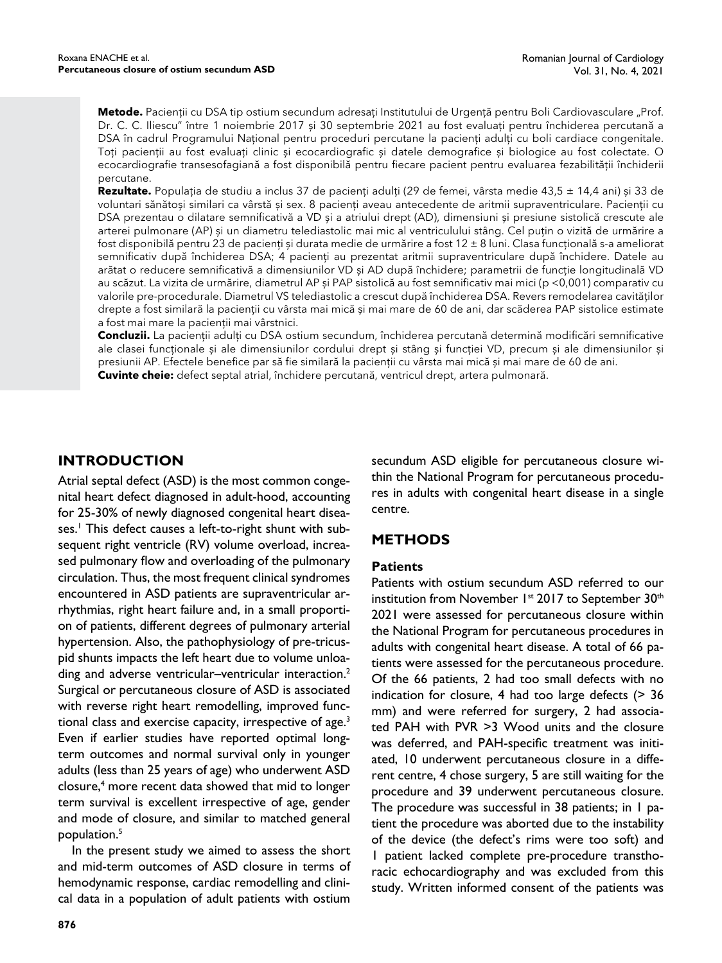**Metode.** Pacienții cu DSA tip ostium secundum adresați Institutului de Urgență pentru Boli Cardiovasculare "Prof. Dr. C. C. Iliescu" între 1 noiembrie 2017 și 30 septembrie 2021 au fost evaluați pentru închiderea percutană a DSA în cadrul Programului Național pentru proceduri percutane la pacienți adulți cu boli cardiace congenitale. Toți pacienții au fost evaluați clinic și ecocardiografic și datele demografice și biologice au fost colectate. O ecocardiografie transesofagiană a fost disponibilă pentru fiecare pacient pentru evaluarea fezabilității închiderii percutane.

**Rezultate.** Populația de studiu a inclus 37 de pacienți adulți (29 de femei, vârsta medie 43,5 ± 14,4 ani) și 33 de voluntari sănătoși similari ca vârstă și sex. 8 pacienți aveau antecedente de aritmii supraventriculare. Pacienții cu DSA prezentau o dilatare semnificativă a VD și a atriului drept (AD), dimensiuni și presiune sistolică crescute ale arterei pulmonare (AP) și un diametru telediastolic mai mic al ventriculului stâng. Cel puțin o vizită de urmărire a fost disponibilă pentru 23 de pacienți și durata medie de urmărire a fost 12 ± 8 luni. Clasa funcțională s-a ameliorat semnificativ după închiderea DSA; 4 pacienți au prezentat aritmii supraventriculare după închidere. Datele au arătat o reducere semnificativă a dimensiunilor VD și AD după închidere; parametrii de funcție longitudinală VD au scăzut. La vizita de urmărire, diametrul AP și PAP sistolică au fost semnificativ mai mici (p <0,001) comparativ cu valorile pre-procedurale. Diametrul VS telediastolic a crescut după închiderea DSA. Revers remodelarea cavităților drepte a fost similară la pacienții cu vârsta mai mică și mai mare de 60 de ani, dar scăderea PAP sistolice estimate a fost mai mare la pacienții mai vârstnici.

**Concluzii.** La pacienții adulți cu DSA ostium secundum, închiderea percutană determină modificări semnificative ale clasei funcționale și ale dimensiunilor cordului drept și stâng și funcției VD, precum și ale dimensiunilor și presiunii AP. Efectele benefice par să fie similară la pacienții cu vârsta mai mică și mai mare de 60 de ani. **Cuvinte cheie:** defect septal atrial, închidere percutană, ventricul drept, artera pulmonară.

# **INTRODUCTION**

Atrial septal defect (ASD) is the most common congenital heart defect diagnosed in adult-hood, accounting for 25-30% of newly diagnosed congenital heart diseases.<sup>1</sup> This defect causes a left-to-right shunt with subsequent right ventricle (RV) volume overload, increased pulmonary flow and overloading of the pulmonary circulation. Thus, the most frequent clinical syndromes encountered in ASD patients are supraventricular arrhythmias, right heart failure and, in a small proportion of patients, different degrees of pulmonary arterial hypertension. Also, the pathophysiology of pre-tricuspid shunts impacts the left heart due to volume unloading and adverse ventricular–ventricular interaction.<sup>2</sup> Surgical or percutaneous closure of ASD is associated with reverse right heart remodelling, improved functional class and exercise capacity, irrespective of age.<sup>3</sup> Even if earlier studies have reported optimal longterm outcomes and normal survival only in younger adults (less than 25 years of age) who underwent ASD closure,4 more recent data showed that mid to longer term survival is excellent irrespective of age, gender and mode of closure, and similar to matched general population.5

In the present study we aimed to assess the short and mid-term outcomes of ASD closure in terms of hemodynamic response, cardiac remodelling and clinical data in a population of adult patients with ostium

secundum ASD eligible for percutaneous closure within the National Program for percutaneous procedures in adults with congenital heart disease in a single centre.

# **METHODS**

## **Patients**

Patients with ostium secundum ASD referred to our institution from November 1<sup>st</sup> 2017 to September 30<sup>th</sup> 2021 were assessed for percutaneous closure within the National Program for percutaneous procedures in adults with congenital heart disease. A total of 66 patients were assessed for the percutaneous procedure. Of the 66 patients, 2 had too small defects with no indication for closure, 4 had too large defects (> 36 mm) and were referred for surgery, 2 had associated PAH with PVR >3 Wood units and the closure was deferred, and PAH-specific treatment was initiated, 10 underwent percutaneous closure in a different centre, 4 chose surgery, 5 are still waiting for the procedure and 39 underwent percutaneous closure. The procedure was successful in 38 patients; in 1 patient the procedure was aborted due to the instability of the device (the defect's rims were too soft) and 1 patient lacked complete pre-procedure transthoracic echocardiography and was excluded from this study. Written informed consent of the patients was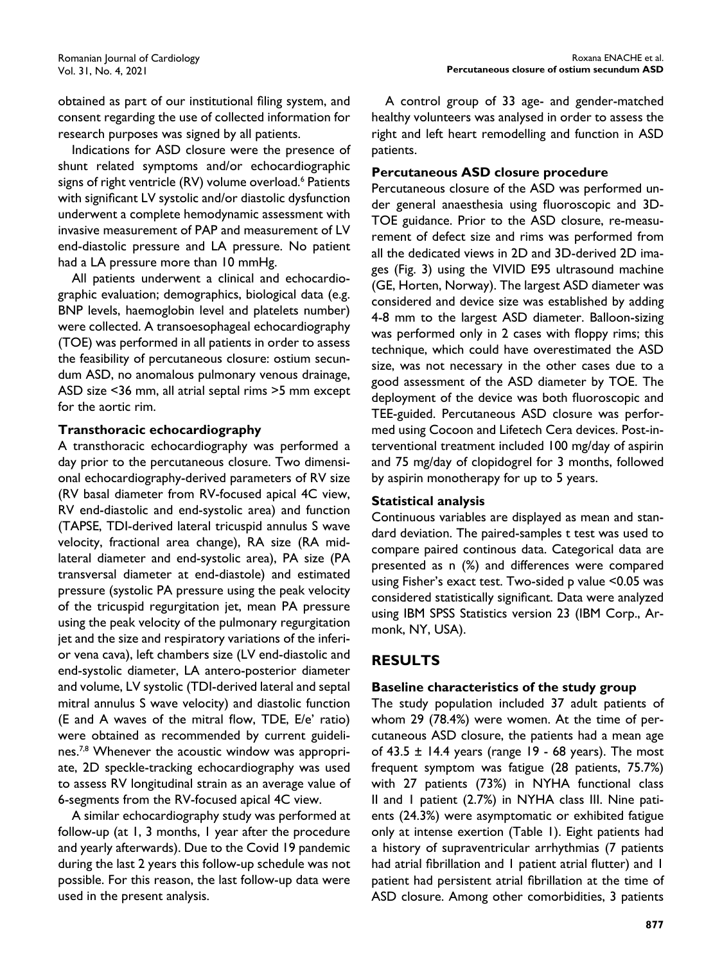obtained as part of our institutional filing system, and consent regarding the use of collected information for research purposes was signed by all patients.

Indications for ASD closure were the presence of shunt related symptoms and/or echocardiographic signs of right ventricle (RV) volume overload.<sup>6</sup> Patients with significant LV systolic and/or diastolic dysfunction underwent a complete hemodynamic assessment with invasive measurement of PAP and measurement of LV end-diastolic pressure and LA pressure. No patient had a LA pressure more than 10 mmHg.

All patients underwent a clinical and echocardiographic evaluation; demographics, biological data (e.g. BNP levels, haemoglobin level and platelets number) were collected. A transoesophageal echocardiography (TOE) was performed in all patients in order to assess the feasibility of percutaneous closure: ostium secundum ASD, no anomalous pulmonary venous drainage, ASD size <36 mm, all atrial septal rims >5 mm except for the aortic rim.

## **Transthoracic echocardiography**

A transthoracic echocardiography was performed a day prior to the percutaneous closure. Two dimensional echocardiography-derived parameters of RV size (RV basal diameter from RV-focused apical 4C view, RV end-diastolic and end-systolic area) and function (TAPSE, TDI-derived lateral tricuspid annulus S wave velocity, fractional area change), RA size (RA midlateral diameter and end-systolic area), PA size (PA transversal diameter at end-diastole) and estimated pressure (systolic PA pressure using the peak velocity of the tricuspid regurgitation jet, mean PA pressure using the peak velocity of the pulmonary regurgitation jet and the size and respiratory variations of the inferior vena cava), left chambers size (LV end-diastolic and end-systolic diameter, LA antero-posterior diameter and volume, LV systolic (TDI-derived lateral and septal mitral annulus S wave velocity) and diastolic function (E and A waves of the mitral flow, TDE, E/e' ratio) were obtained as recommended by current guidelines.<sup>7,8</sup> Whenever the acoustic window was appropriate, 2D speckle-tracking echocardiography was used to assess RV longitudinal strain as an average value of 6-segments from the RV-focused apical 4C view.

A similar echocardiography study was performed at follow-up (at 1, 3 months, 1 year after the procedure and yearly afterwards). Due to the Covid 19 pandemic during the last 2 years this follow-up schedule was not possible. For this reason, the last follow-up data were used in the present analysis.

A control group of 33 age- and gender-matched healthy volunteers was analysed in order to assess the right and left heart remodelling and function in ASD patients.

## **Percutaneous ASD closure procedure**

Percutaneous closure of the ASD was performed under general anaesthesia using fluoroscopic and 3D-TOE guidance. Prior to the ASD closure, re-measurement of defect size and rims was performed from all the dedicated views in 2D and 3D-derived 2D images (Fig. 3) using the VIVID E95 ultrasound machine (GE, Horten, Norway). The largest ASD diameter was considered and device size was established by adding 4-8 mm to the largest ASD diameter. Balloon-sizing was performed only in 2 cases with floppy rims; this technique, which could have overestimated the ASD size, was not necessary in the other cases due to a good assessment of the ASD diameter by TOE. The deployment of the device was both fluoroscopic and TEE-guided. Percutaneous ASD closure was performed using Cocoon and Lifetech Cera devices. Post-interventional treatment included 100 mg/day of aspirin and 75 mg/day of clopidogrel for 3 months, followed by aspirin monotherapy for up to 5 years.

## **Statistical analysis**

Continuous variables are displayed as mean and standard deviation. The paired-samples t test was used to compare paired continous data. Categorical data are presented as n (%) and differences were compared using Fisher's exact test. Two-sided p value <0.05 was considered statistically significant. Data were analyzed using IBM SPSS Statistics version 23 (IBM Corp., Armonk, NY, USA).

# **RESULTS**

## **Baseline characteristics of the study group**

The study population included 37 adult patients of whom 29 (78.4%) were women. At the time of percutaneous ASD closure, the patients had a mean age of 43.5  $\pm$  14.4 years (range 19 - 68 years). The most frequent symptom was fatigue (28 patients, 75.7%) with 27 patients (73%) in NYHA functional class II and 1 patient (2.7%) in NYHA class III. Nine patients (24.3%) were asymptomatic or exhibited fatigue only at intense exertion (Table 1). Eight patients had a history of supraventricular arrhythmias (7 patients had atrial fibrillation and 1 patient atrial flutter) and 1 patient had persistent atrial fibrillation at the time of ASD closure. Among other comorbidities, 3 patients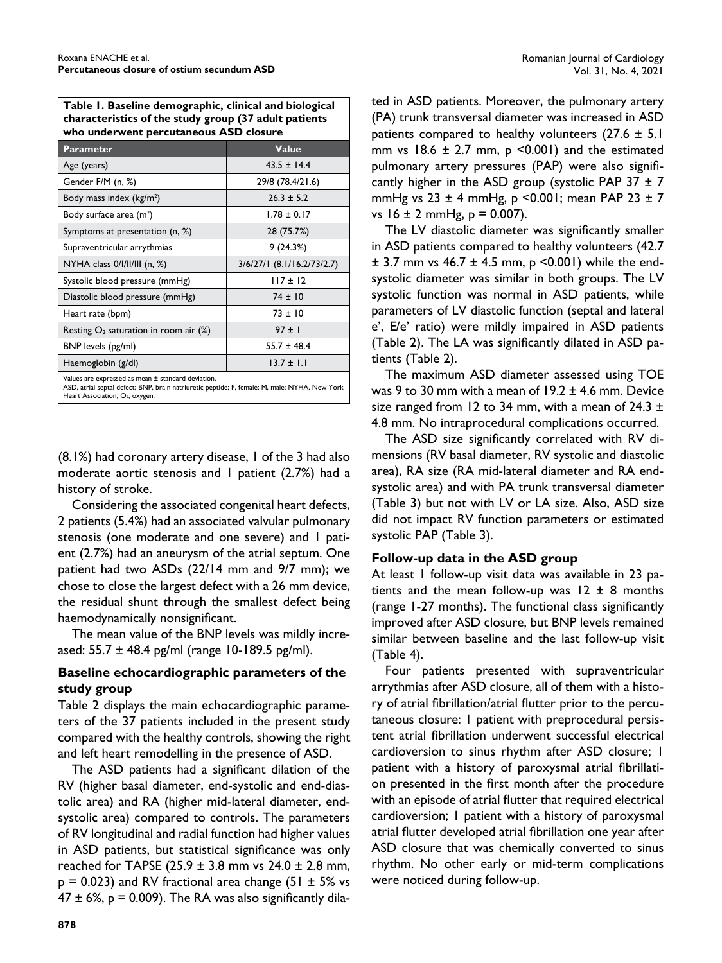**Table 1. Baseline demographic, clinical and biological characteristics of the study group (37 adult patients who underwent percutaneous ASD closure**

| <b>Parameter</b>                                   | <b>Value</b>                 |
|----------------------------------------------------|------------------------------|
| Age (years)                                        | $43.5 \pm 14.4$              |
| Gender F/M (n, %)                                  | 29/8 (78.4/21.6)             |
| Body mass index $(kg/m2)$                          | $26.3 \pm 5.2$               |
| Body surface area $(m2)$                           | $1.78 \pm 0.17$              |
| Symptoms at presentation (n, %)                    | 28 (75.7%)                   |
| Supraventricular arrythmias                        | 9(24.3%)                     |
| NYHA class $0/1/11/111$ (n, %)                     | $3/6/27/1$ (8.1/16.2/73/2.7) |
| Systolic blood pressure (mmHg)                     | $117 \pm 12$                 |
| Diastolic blood pressure (mmHg)                    | $74 \pm 10$                  |
| Heart rate (bpm)                                   | $73 \pm 10$                  |
| Resting $O_2$ saturation in room air (%)           | $97 \pm 1$                   |
| BNP levels (pg/ml)                                 | $55.7 \pm 48.4$              |
| Haemoglobin (g/dl)                                 | $13.7 \pm 1.1$               |
| Values are expressed as mean ± standard deviation. |                              |

ASD, atrial septal defect; BNP, brain natriuretic peptide; F, female; M, male; NYHA, New York Heart Association; O<sub>2</sub>, oxygen.

(8.1%) had coronary artery disease, 1 of the 3 had also moderate aortic stenosis and 1 patient (2.7%) had a history of stroke.

Considering the associated congenital heart defects, 2 patients (5.4%) had an associated valvular pulmonary stenosis (one moderate and one severe) and 1 patient (2.7%) had an aneurysm of the atrial septum. One patient had two ASDs (22/14 mm and 9/7 mm); we chose to close the largest defect with a 26 mm device, the residual shunt through the smallest defect being haemodynamically nonsignificant.

The mean value of the BNP levels was mildly increased: 55.7 ± 48.4 pg/ml (range 10-189.5 pg/ml).

## **Baseline echocardiographic parameters of the study group**

Table 2 displays the main echocardiographic parameters of the 37 patients included in the present study compared with the healthy controls, showing the right and left heart remodelling in the presence of ASD.

The ASD patients had a significant dilation of the RV (higher basal diameter, end-systolic and end-diastolic area) and RA (higher mid-lateral diameter, endsystolic area) compared to controls. The parameters of RV longitudinal and radial function had higher values in ASD patients, but statistical significance was only reached for TAPSE (25.9  $\pm$  3.8 mm vs 24.0  $\pm$  2.8 mm,  $p = 0.023$ ) and RV fractional area change (51  $\pm$  5% vs  $47 \pm 6\%$ , p = 0.009). The RA was also significantly dila-

ted in ASD patients. Moreover, the pulmonary artery (PA) trunk transversal diameter was increased in ASD patients compared to healthy volunteers  $(27.6 \pm 5.1)$ mm vs  $18.6 \pm 2.7$  mm,  $p \le 0.001$ ) and the estimated pulmonary artery pressures (PAP) were also significantly higher in the ASD group (systolic PAP 37  $\pm$  7 mmHg vs  $23 \pm 4$  mmHg, p <0.001; mean PAP  $23 \pm 7$ vs  $16 \pm 2$  mmHg,  $p = 0.007$ ).

The LV diastolic diameter was significantly smaller in ASD patients compared to healthy volunteers (42.7  $\pm$  3.7 mm vs 46.7  $\pm$  4.5 mm, p <0.001) while the endsystolic diameter was similar in both groups. The LV systolic function was normal in ASD patients, while parameters of LV diastolic function (septal and lateral e', E/e' ratio) were mildly impaired in ASD patients (Table 2). The LA was significantly dilated in  $ASD$  patients (Table 2).

The maximum ASD diameter assessed using TOE was 9 to 30 mm with a mean of  $19.2 \pm 4.6$  mm. Device size ranged from 12 to 34 mm, with a mean of 24.3  $\pm$ 4.8 mm. No intraprocedural complications occurred.

The ASD size significantly correlated with RV dimensions (RV basal diameter, RV systolic and diastolic area), RA size (RA mid-lateral diameter and RA endsystolic area) and with PA trunk transversal diameter (Table 3) but not with LV or LA size. Also, ASD size did not impact RV function parameters or estimated systolic PAP (Table 3).

# **Follow-up data in the ASD group**

At least 1 follow-up visit data was available in 23 patients and the mean follow-up was  $12 \pm 8$  months (range 1-27 months). The functional class significantly improved after ASD closure, but BNP levels remained similar between baseline and the last follow-up visit (Table 4).

Four patients presented with supraventricular arrythmias after ASD closure, all of them with a history of atrial fibrillation/atrial flutter prior to the percutaneous closure: 1 patient with preprocedural persistent atrial fibrillation underwent successful electrical cardioversion to sinus rhythm after ASD closure; 1 patient with a history of paroxysmal atrial fibrillation presented in the first month after the procedure with an episode of atrial flutter that required electrical cardioversion; 1 patient with a history of paroxysmal atrial flutter developed atrial fibrillation one year after ASD closure that was chemically converted to sinus rhythm. No other early or mid-term complications were noticed during follow-up.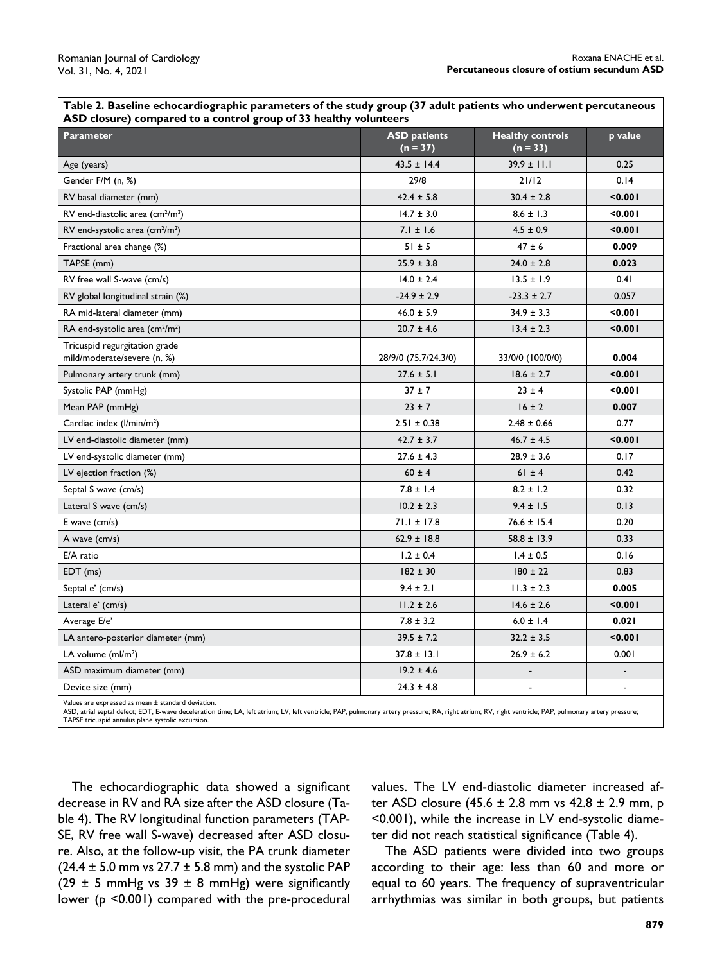**Table 2. Baseline echocardiographic parameters of the study group (37 adult patients who underwent percutaneous ASD closure) compared to a control group of 33 healthy volunteers**

| ----r<br><b>Parameter</b>                                    | <b>ASD</b> patients<br>$(n = 37)$ | <b>Healthy controls</b><br>$(n = 33)$ | p value                  |
|--------------------------------------------------------------|-----------------------------------|---------------------------------------|--------------------------|
| Age (years)                                                  | $43.5 \pm 14.4$                   | $39.9 \pm 11.1$                       | 0.25                     |
| Gender F/M (n, %)                                            | 29/8                              | 21/12                                 | 0.14                     |
| RV basal diameter (mm)                                       | $42.4 \pm 5.8$                    | $30.4 \pm 2.8$                        | 0.001                    |
| RV end-diastolic area $\text{(cm}^2\text{/m}^2\text{)}$      | $14.7 \pm 3.0$                    | $8.6 \pm 1.3$                         | < 0.001                  |
| RV end-systolic area (cm <sup>2</sup> /m <sup>2</sup> )      | $7.1 \pm 1.6$                     | $4.5 \pm 0.9$                         | 0.001                    |
| Fractional area change (%)                                   | $51 \pm 5$                        | $47 \pm 6$                            | 0.009                    |
| TAPSE (mm)                                                   | $25.9 \pm 3.8$                    | $24.0 \pm 2.8$                        | 0.023                    |
| RV free wall S-wave (cm/s)                                   | $14.0 \pm 2.4$                    | $13.5 \pm 1.9$                        | 0.41                     |
| RV global longitudinal strain (%)                            | $-24.9 \pm 2.9$                   | $-23.3 \pm 2.7$                       | 0.057                    |
| RA mid-lateral diameter (mm)                                 | $46.0 \pm 5.9$                    | $34.9 \pm 3.3$                        | 0.001                    |
| RA end-systolic area $\text{(cm}^2\text{/m}^2\text{)}$       | $20.7 \pm 4.6$                    | $13.4 \pm 2.3$                        | < 0.001                  |
| Tricuspid regurgitation grade<br>mild/moderate/severe (n, %) | 28/9/0 (75.7/24.3/0)              | 33/0/0 (100/0/0)                      | 0.004                    |
| Pulmonary artery trunk (mm)                                  | $27.6 \pm 5.1$                    | $18.6 \pm 2.7$                        | 0.001                    |
| Systolic PAP (mmHg)                                          | $37 + 7$                          | $23 \pm 4$                            | < 0.001                  |
| Mean PAP (mmHg)                                              | $23 \pm 7$                        | $16 \pm 2$                            | 0.007                    |
| Cardiac index (I/min/m <sup>2</sup> )                        | $2.51 \pm 0.38$                   | $2.48 \pm 0.66$                       | 0.77                     |
| LV end-diastolic diameter (mm)                               | $42.7 \pm 3.7$                    | $46.7 \pm 4.5$                        | 0.001                    |
| LV end-systolic diameter (mm)                                | $27.6 \pm 4.3$                    | $28.9 \pm 3.6$                        | 0.17                     |
| LV ejection fraction (%)                                     | $60 \pm 4$                        | $61 \pm 4$                            | 0.42                     |
| Septal S wave (cm/s)                                         | $7.8 \pm 1.4$                     | $8.2 \pm 1.2$                         | 0.32                     |
| Lateral S wave (cm/s)                                        | $10.2 \pm 2.3$                    | $9.4 \pm 1.5$                         | 0.13                     |
| E wave (cm/s)                                                | $71.1 \pm 17.8$                   | $76.6 \pm 15.4$                       | 0.20                     |
| A wave (cm/s)                                                | $62.9 \pm 18.8$                   | $58.8 \pm 13.9$                       | 0.33                     |
| E/A ratio                                                    | $1.2 \pm 0.4$                     | $1.4 \pm 0.5$                         | 0.16                     |
| $EDT$ (ms)                                                   | $182 \pm 30$                      | $180 \pm 22$                          | 0.83                     |
| Septal e' (cm/s)                                             | $9.4 \pm 2.1$                     | $11.3 \pm 2.3$                        | 0.005                    |
| Lateral e' (cm/s)                                            | $11.2 \pm 2.6$                    | $14.6 \pm 2.6$                        | 0.001                    |
| Average E/e'                                                 | $7.8 \pm 3.2$                     | $6.0 \pm 1.4$                         | 0.021                    |
| LA antero-posterior diameter (mm)                            | $39.5 \pm 7.2$                    | $32.2 \pm 3.5$                        | 0.001                    |
| LA volume $(mI/m2)$                                          | $37.8 \pm 13.1$                   | $26.9 \pm 6.2$                        | 0.001                    |
| ASD maximum diameter (mm)                                    | $19.2 \pm 4.6$                    |                                       |                          |
| Device size (mm)                                             | $24.3 \pm 4.8$                    | $\overline{\phantom{a}}$              | $\overline{\phantom{a}}$ |

Values are expressed as mean ± standard deviation.

ASD, atrial septal defect; EDT, E-wave deceleration time; LA, left atrium; LV, left ventricle; PAP, pulmonary artery pressure; RA, right atrium; RV, right ventricle; PAP, pulmonary artery pressure; TAPSE tricuspid annulus plane systolic excursion.

The echocardiographic data showed a significant decrease in RV and RA size after the ASD closure (Table 4). The RV longitudinal function parameters (TAP-SE, RV free wall S-wave) decreased after ASD closure. Also, at the follow-up visit, the PA trunk diameter  $(24.4 \pm 5.0 \text{ mm} \text{ vs } 27.7 \pm 5.8 \text{ mm})$  and the systolic PAP (29  $\pm$  5 mmHg vs 39  $\pm$  8 mmHg) were significantly lower (p <0.001) compared with the pre-procedural values. The LV end-diastolic diameter increased after ASD closure (45.6 ± 2.8 mm vs 42.8 ± 2.9 mm, p <0.001), while the increase in LV end-systolic diameter did not reach statistical significance (Table 4).

The ASD patients were divided into two groups according to their age: less than 60 and more or equal to 60 years. The frequency of supraventricular arrhythmias was similar in both groups, but patients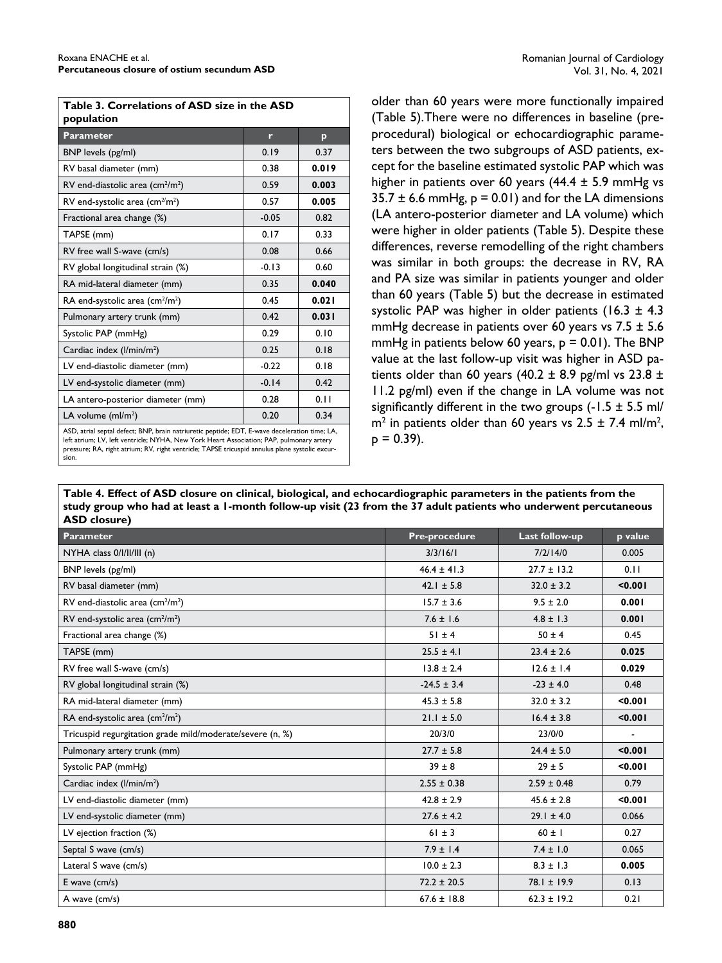| Table 3. Correlations of ASD size in the ASD<br>population                                                                                                                                                                                                                                           |         |       |  |
|------------------------------------------------------------------------------------------------------------------------------------------------------------------------------------------------------------------------------------------------------------------------------------------------------|---------|-------|--|
| Parameter                                                                                                                                                                                                                                                                                            | r       | p     |  |
| BNP levels (pg/ml)                                                                                                                                                                                                                                                                                   | 0.19    | 0.37  |  |
| RV basal diameter (mm)                                                                                                                                                                                                                                                                               | 0.38    | 0.019 |  |
| RV end-diastolic area (cm <sup>2</sup> /m <sup>2</sup> )                                                                                                                                                                                                                                             | 0.59    | 0.003 |  |
| RV end-systolic area (cm <sup>2/</sup> m <sup>2</sup> )                                                                                                                                                                                                                                              | 0.57    | 0.005 |  |
| Fractional area change (%)                                                                                                                                                                                                                                                                           | $-0.05$ | 0.82  |  |
| TAPSE (mm)                                                                                                                                                                                                                                                                                           | 0.17    | 0.33  |  |
| RV free wall S-wave (cm/s)                                                                                                                                                                                                                                                                           | 0.08    | 0.66  |  |
| RV global longitudinal strain (%)                                                                                                                                                                                                                                                                    | $-0.13$ | 0.60  |  |
| RA mid-lateral diameter (mm)                                                                                                                                                                                                                                                                         | 0.35    | 0.040 |  |
| RA end-systolic area (cm $^2$ /m $^2$ )                                                                                                                                                                                                                                                              | 0.45    | 0.021 |  |
| Pulmonary artery trunk (mm)                                                                                                                                                                                                                                                                          | 0.42    | 0.031 |  |
| Systolic PAP (mmHg)                                                                                                                                                                                                                                                                                  | 0.29    | 0.10  |  |
| Cardiac index (I/min/m <sup>2</sup> )                                                                                                                                                                                                                                                                | 0.25    | 0.18  |  |
| LV end-diastolic diameter (mm)                                                                                                                                                                                                                                                                       | $-0.22$ | 0.18  |  |
| LV end-systolic diameter (mm)                                                                                                                                                                                                                                                                        | $-0.14$ | 0.42  |  |
| LA antero-posterior diameter (mm)                                                                                                                                                                                                                                                                    | 0.28    | 0.11  |  |
| LA volume $(mI/m2)$                                                                                                                                                                                                                                                                                  | 0.20    | 0.34  |  |
| ASD, atrial septal defect; BNP, brain natriuretic peptide; EDT, E-wave deceleration time; LA,<br>left atrium; LV, left ventricle; NYHA, New York Heart Association; PAP, pulmonary artery<br>pressure; RA, right atrium; RV, right ventricle; TAPSE tricuspid annulus plane systolic excur-<br>sion. |         |       |  |

older than 60 years were more functionally impaired (Table 5).There were no differences in baseline (preprocedural) biological or echocardiographic parameters between the two subgroups of ASD patients, except for the baseline estimated systolic PAP which was higher in patients over 60 years (44.4  $\pm$  5.9 mmHg vs  $35.7 \pm 6.6$  mmHg,  $p = 0.01$ ) and for the LA dimensions (LA antero-posterior diameter and LA volume) which were higher in older patients (Table 5). Despite these differences, reverse remodelling of the right chambers was similar in both groups: the decrease in RV, RA and PA size was similar in patients younger and older than 60 years (Table 5) but the decrease in estimated systolic PAP was higher in older patients (16.3  $\pm$  4.3 mmHg decrease in patients over 60 years vs  $7.5 \pm 5.6$ mmHg in patients below 60 years,  $p = 0.01$ ). The BNP value at the last follow-up visit was higher in ASD patients older than 60 years (40.2  $\pm$  8.9 pg/ml vs 23.8  $\pm$ 11.2 pg/ml) even if the change in LA volume was not significantly different in the two groups  $(-1.5 \pm 5.5 \text{ ml})$  $m<sup>2</sup>$  in patients older than 60 years vs 2.5  $\pm$  7.4 ml/m<sup>2</sup>,  $p = 0.39$ ).

**Table 4. Effect of ASD closure on clinical, biological, and echocardiographic parameters in the patients from the study group who had at least a 1-month follow-up visit (23 from the 37 adult patients who underwent percutaneous ASD closure)**

| <b>Parameter</b>                                          | <b>Pre-procedure</b> | Last follow-up  | p value |
|-----------------------------------------------------------|----------------------|-----------------|---------|
| NYHA class 0/l/ll/lll (n)                                 | 3/3/16/1             | 7/2/14/0        | 0.005   |
| BNP levels (pg/ml)                                        | $46.4 \pm 41.3$      | $27.7 \pm 13.2$ | 0.11    |
| RV basal diameter (mm)                                    | $42.1 \pm 5.8$       | $32.0 \pm 3.2$  | < 0.001 |
| RV end-diastolic area (cm <sup>2</sup> /m <sup>2</sup> )  | $15.7 \pm 3.6$       | $9.5 \pm 2.0$   | 0.001   |
| RV end-systolic area $\text{(cm}^2\text{/m}^2)$           | $7.6 \pm 1.6$        | $4.8 \pm 1.3$   | 0.001   |
| Fractional area change (%)                                | $51 \pm 4$           | $50 \pm 4$      | 0.45    |
| TAPSE (mm)                                                | $25.5 \pm 4.1$       | $23.4 \pm 2.6$  | 0.025   |
| RV free wall S-wave (cm/s)                                | $13.8 \pm 2.4$       | $12.6 \pm 1.4$  | 0.029   |
| RV global longitudinal strain (%)                         | $-24.5 \pm 3.4$      | $-23 \pm 4.0$   | 0.48    |
| RA mid-lateral diameter (mm)                              | $45.3 \pm 5.8$       | $32.0 \pm 3.2$  | < 0.001 |
| RA end-systolic area (cm <sup>2</sup> /m <sup>2</sup> )   | $21.1 \pm 5.0$       | $16.4 \pm 3.8$  | < 0.001 |
| Tricuspid regurgitation grade mild/moderate/severe (n, %) | 20/3/0               | 23/0/0          |         |
| Pulmonary artery trunk (mm)                               | $27.7 \pm 5.8$       | $24.4 \pm 5.0$  | < 0.001 |
| Systolic PAP (mmHg)                                       | $39 \pm 8$           | $29 \pm 5$      | < 0.001 |
| Cardiac index (I/min/m <sup>2</sup> )                     | $2.55 \pm 0.38$      | $2.59 \pm 0.48$ | 0.79    |
| LV end-diastolic diameter (mm)                            | $42.8 \pm 2.9$       | $45.6 \pm 2.8$  | < 0.001 |
| LV end-systolic diameter (mm)                             | $27.6 \pm 4.2$       | $29.1 \pm 4.0$  | 0.066   |
| LV ejection fraction (%)                                  | $61 \pm 3$           | $60 \pm 1$      | 0.27    |
| Septal S wave (cm/s)                                      | $7.9 \pm 1.4$        | $7.4 \pm 1.0$   | 0.065   |
| Lateral S wave (cm/s)                                     | $10.0 \pm 2.3$       | $8.3 \pm 1.3$   | 0.005   |
| $E$ wave (cm/s)                                           | $72.2 \pm 20.5$      | $78.1 \pm 19.9$ | 0.13    |
| A wave (cm/s)                                             | $67.6 \pm 18.8$      | $62.3 \pm 19.2$ | 0.21    |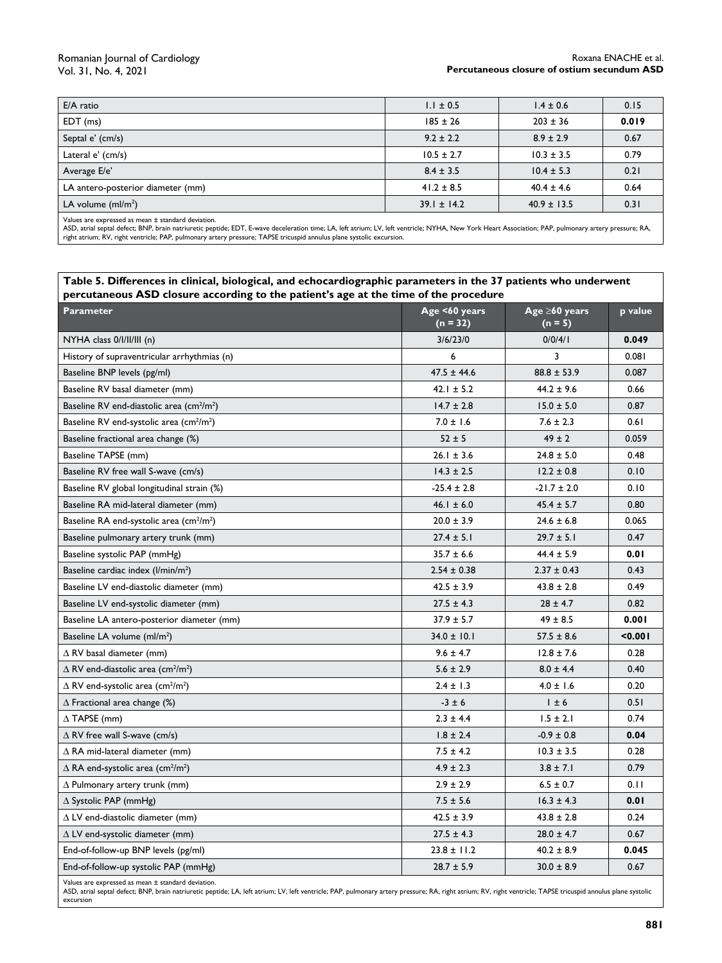#### Romanian Journal of Cardiology Vol. 31, No. 4, 2021

#### Roxana ENACHE et al. **Percutaneous closure of ostium secundum ASD**

| E/A ratio                         | $1.1 \pm 0.5$   | $1.4 \pm 0.6$   | 0.15  |
|-----------------------------------|-----------------|-----------------|-------|
| $EDT$ (ms)                        | $185 \pm 26$    | $203 \pm 36$    | 0.019 |
| Septal e' (cm/s)                  | $9.2 \pm 2.2$   | $8.9 \pm 2.9$   | 0.67  |
| Lateral e' (cm/s)                 | $10.5 \pm 2.7$  | $10.3 \pm 3.5$  | 0.79  |
| Average E/e'                      | $8.4 \pm 3.5$   | $10.4 \pm 5.3$  | 0.21  |
| LA antero-posterior diameter (mm) | $41.2 \pm 8.5$  | $40.4 \pm 4.6$  | 0.64  |
| LA volume $(mI/m2)$               | $39.1 \pm 14.2$ | $40.9 \pm 13.5$ | 0.31  |
|                                   |                 |                 |       |

Values are expressed as mean ± standard deviation.

ASD, atrial septal defect; BNP, brain natriuretic peptide; EDT, E-wave deceleration time; LA, left atrium; LV, left ventricle; NYHA, New York Heart Association; PAP, pulmonary artery pressure; RA, right atrium; RV, right ventricle; PAP, pulmonary artery pressure; TAPSE tricuspid annulus plane systolic excursion.

#### **Table 5. Differences in clinical, biological, and echocardiographic parameters in the 37 patients who underwent percutaneous ASD closure according to the patient's age at the time of the procedure**

| Parameter                                                         | Age <60 years<br>$(n = 32)$ | Age $\geq 60$ years<br>$(n = 5)$ | p value |
|-------------------------------------------------------------------|-----------------------------|----------------------------------|---------|
| $NYHA$ class $0/1/11/111$ (n)                                     | 3/6/23/0                    | 0/0/4/1                          | 0.049   |
| History of supraventricular arrhythmias (n)                       | 6                           | 3                                | 0.081   |
| Baseline BNP levels (pg/ml)                                       | $47.5 \pm 44.6$             | $88.8 \pm 53.9$                  | 0.087   |
| Baseline RV basal diameter (mm)                                   | $42.1 \pm 5.2$              | $44.2 \pm 9.6$                   | 0.66    |
| Baseline RV end-diastolic area (cm <sup>2</sup> /m <sup>2</sup> ) | $14.7 \pm 2.8$              | $15.0 \pm 5.0$                   | 0.87    |
| Baseline RV end-systolic area (cm <sup>2</sup> /m <sup>2</sup> )  | $7.0 \pm 1.6$               | $7.6 \pm 2.3$                    | 0.61    |
| Baseline fractional area change (%)                               | $52 \pm 5$                  | $49 \pm 2$                       | 0.059   |
| Baseline TAPSE (mm)                                               | $26.1 \pm 3.6$              | $24.8 \pm 5.0$                   | 0.48    |
| Baseline RV free wall S-wave (cm/s)                               | $14.3 \pm 2.5$              | $12.2 \pm 0.8$                   | 0.10    |
| Baseline RV global longitudinal strain (%)                        | $-25.4 \pm 2.8$             | $-21.7 \pm 2.0$                  | 0.10    |
| Baseline RA mid-lateral diameter (mm)                             | $46.1 \pm 6.0$              | $45.4 \pm 5.7$                   | 0.80    |
| Baseline RA end-systolic area (cm <sup>2</sup> /m <sup>2</sup> )  | $20.0 \pm 3.9$              | $24.6 \pm 6.8$                   | 0.065   |
| Baseline pulmonary artery trunk (mm)                              | $27.4 \pm 5.1$              | $29.7 \pm 5.1$                   | 0.47    |
| Baseline systolic PAP (mmHg)                                      | $35.7 \pm 6.6$              | $44.4 \pm 5.9$                   | 0.01    |
| Baseline cardiac index (I/min/m <sup>2</sup> )                    | $2.54 \pm 0.38$             | $2.37 \pm 0.43$                  | 0.43    |
| Baseline LV end-diastolic diameter (mm)                           | $42.5 \pm 3.9$              | $43.8 \pm 2.8$                   | 0.49    |
| Baseline LV end-systolic diameter (mm)                            | $27.5 \pm 4.3$              | $28 \pm 4.7$                     | 0.82    |
| Baseline LA antero-posterior diameter (mm)                        | $37.9 \pm 5.7$              | $49 \pm 8.5$                     | 0.001   |
| Baseline LA volume (ml/m <sup>2</sup> )                           | $34.0 \pm 10.1$             | $57.5 \pm 8.6$                   | < 0.001 |
| $\Delta$ RV basal diameter (mm)                                   | $9.6 \pm 4.7$               | $12.8 \pm 7.6$                   | 0.28    |
| $\Delta$ RV end-diastolic area (cm <sup>2</sup> /m <sup>2</sup> ) | $5.6 \pm 2.9$               | $8.0 \pm 4.4$                    | 0.40    |
| $\Delta$ RV end-systolic area (cm <sup>2</sup> /m <sup>2</sup> )  | $2.4 \pm 1.3$               | $4.0 \pm 1.6$                    | 0.20    |
| $\Delta$ Fractional area change (%)                               | $-3 \pm 6$                  | $1 \pm 6$                        | 0.51    |
| $\Delta$ TAPSE (mm)                                               | $2.3 \pm 4.4$               | $1.5 \pm 2.1$                    | 0.74    |
| $\triangle$ RV free wall S-wave (cm/s)                            | $1.8 \pm 2.4$               | $-0.9 \pm 0.8$                   | 0.04    |
| $\Delta$ RA mid-lateral diameter (mm)                             | $7.5 \pm 4.2$               | $10.3 \pm 3.5$                   | 0.28    |
| $\Delta$ RA end-systolic area (cm <sup>2</sup> /m <sup>2</sup> )  | $4.9 \pm 2.3$               | $3.8 \pm 7.1$                    | 0.79    |
| $\Delta$ Pulmonary artery trunk (mm)                              | $2.9 \pm 2.9$               | $6.5 \pm 0.7$                    | 0.11    |
| $\Delta$ Systolic PAP (mmHg)                                      | $7.5 \pm 5.6$               | $16.3 \pm 4.3$                   | 0.01    |
| $\Delta$ LV end-diastolic diameter (mm)                           | $42.5 \pm 3.9$              | $43.8 \pm 2.8$                   | 0.24    |
| $\Delta$ LV end-systolic diameter (mm)                            | $27.5 \pm 4.3$              | $28.0 \pm 4.7$                   | 0.67    |
| End-of-follow-up BNP levels (pg/ml)                               | $23.8 \pm 11.2$             | $40.2 \pm 8.9$                   | 0.045   |
| End-of-follow-up systolic PAP (mmHg)                              | $28.7 \pm 5.9$              | $30.0 \pm 8.9$                   | 0.67    |
| Values are expressed as mean ± standard deviation.                |                             |                                  |         |

ASD, atrial septal defect; BNP, brain natriuretic peptide; LA, left atrium; LV, left ventricle; PAP, pulmonary artery pressure; RA, right atrium; RV, right ventricle; TAPSE tricuspid annulus plane systolic excursion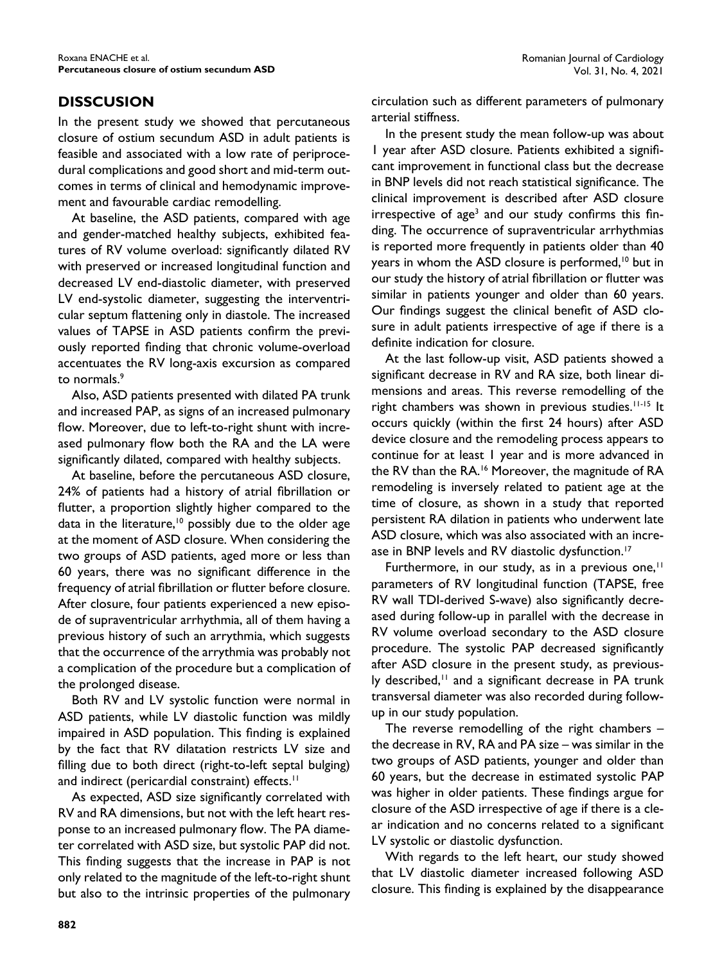# **DISSCUSION**

In the present study we showed that percutaneous closure of ostium secundum ASD in adult patients is feasible and associated with a low rate of periprocedural complications and good short and mid-term outcomes in terms of clinical and hemodynamic improvement and favourable cardiac remodelling.

At baseline, the ASD patients, compared with age and gender-matched healthy subjects, exhibited features of RV volume overload: significantly dilated RV with preserved or increased longitudinal function and decreased LV end-diastolic diameter, with preserved LV end-systolic diameter, suggesting the interventricular septum flattening only in diastole. The increased values of TAPSE in ASD patients confirm the previously reported finding that chronic volume-overload accentuates the RV long-axis excursion as compared to normals.<sup>9</sup>

Also, ASD patients presented with dilated PA trunk and increased PAP, as signs of an increased pulmonary flow. Moreover, due to left-to-right shunt with increased pulmonary flow both the RA and the LA were significantly dilated, compared with healthy subjects.

At baseline, before the percutaneous ASD closure, 24% of patients had a history of atrial fibrillation or flutter, a proportion slightly higher compared to the data in the literature,<sup>10</sup> possibly due to the older age at the moment of ASD closure. When considering the two groups of ASD patients, aged more or less than 60 years, there was no significant difference in the frequency of atrial fibrillation or flutter before closure. After closure, four patients experienced a new episode of supraventricular arrhythmia, all of them having a previous history of such an arrythmia, which suggests that the occurrence of the arrythmia was probably not a complication of the procedure but a complication of the prolonged disease.

Both RV and LV systolic function were normal in ASD patients, while LV diastolic function was mildly impaired in ASD population. This finding is explained by the fact that RV dilatation restricts LV size and filling due to both direct (right-to-left septal bulging) and indirect (pericardial constraint) effects.<sup>11</sup>

As expected, ASD size significantly correlated with RV and RA dimensions, but not with the left heart response to an increased pulmonary flow. The PA diameter correlated with ASD size, but systolic PAP did not. This finding suggests that the increase in PAP is not only related to the magnitude of the left-to-right shunt but also to the intrinsic properties of the pulmonary circulation such as different parameters of pulmonary arterial stiffness.

In the present study the mean follow-up was about 1 year after ASD closure. Patients exhibited a significant improvement in functional class but the decrease in BNP levels did not reach statistical significance. The clinical improvement is described after ASD closure irrespective of age<sup>3</sup> and our study confirms this finding. The occurrence of supraventricular arrhythmias is reported more frequently in patients older than 40 years in whom the ASD closure is performed,<sup>10</sup> but in our study the history of atrial fibrillation or flutter was similar in patients younger and older than 60 years. Our findings suggest the clinical benefit of ASD closure in adult patients irrespective of age if there is a definite indication for closure.

At the last follow-up visit, ASD patients showed a significant decrease in RV and RA size, both linear dimensions and areas. This reverse remodelling of the right chambers was shown in previous studies.<sup>11-15</sup> It occurs quickly (within the first 24 hours) after ASD device closure and the remodeling process appears to continue for at least 1 year and is more advanced in the RV than the RA.<sup>16</sup> Moreover, the magnitude of RA remodeling is inversely related to patient age at the time of closure, as shown in a study that reported persistent RA dilation in patients who underwent late ASD closure, which was also associated with an increase in BNP levels and RV diastolic dysfunction.<sup>17</sup>

Furthermore, in our study, as in a previous one, $\mathbf{H}$ parameters of RV longitudinal function (TAPSE, free RV wall TDI-derived S-wave) also significantly decreased during follow-up in parallel with the decrease in RV volume overload secondary to the ASD closure procedure. The systolic PAP decreased significantly after ASD closure in the present study, as previously described, $11$  and a significant decrease in PA trunk transversal diameter was also recorded during followup in our study population.

The reverse remodelling of the right chambers – the decrease in RV, RA and PA size – was similar in the two groups of ASD patients, younger and older than 60 years, but the decrease in estimated systolic PAP was higher in older patients. These findings argue for closure of the ASD irrespective of age if there is a clear indication and no concerns related to a significant LV systolic or diastolic dysfunction.

With regards to the left heart, our study showed that LV diastolic diameter increased following ASD closure. This finding is explained by the disappearance